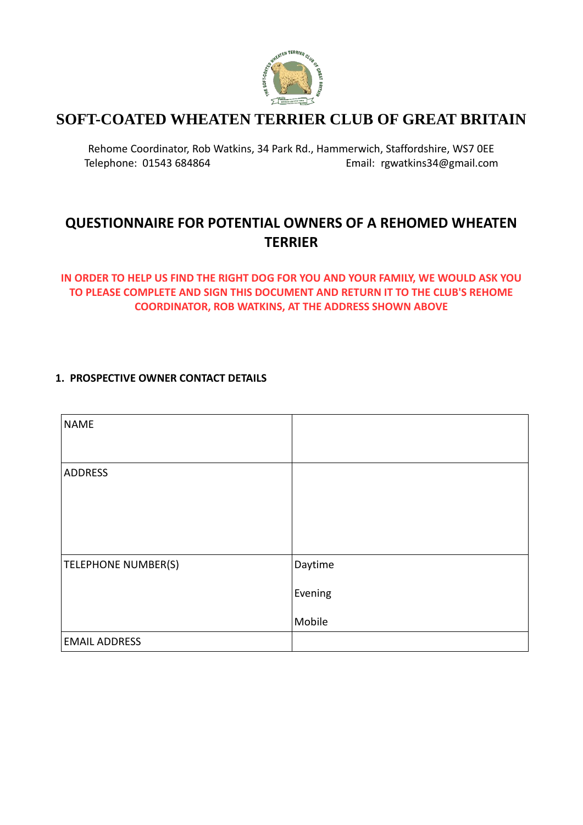

# **SOFT-COATED WHEATEN TERRIER CLUB OF GREAT BRITAIN**

Rehome Coordinator, Rob Watkins, 34 Park Rd., Hammerwich, Staffordshire, WS7 0EE Telephone: 01543 684864 Email: [rgwatkins34@gmail.com](mailto:rgwatkins34@gmail.com)

# **QUESTIONNAIRE FOR POTENTIAL OWNERS OF A REHOMED WHEATEN TERRIER**

# **IN ORDER TO HELP US FIND THE RIGHT DOG FOR YOU AND YOUR FAMILY, WE WOULD ASK YOU TO PLEASE COMPLETE AND SIGN THIS DOCUMENT AND RETURN IT TO THE CLUB'S REHOME COORDINATOR, ROB WATKINS, AT THE ADDRESS SHOWN ABOVE**

### **1. PROSPECTIVE OWNER CONTACT DETAILS**

| <b>NAME</b>                |         |
|----------------------------|---------|
| ADDRESS                    |         |
| <b>TELEPHONE NUMBER(S)</b> | Daytime |
|                            | Evening |
|                            | Mobile  |
| <b>EMAIL ADDRESS</b>       |         |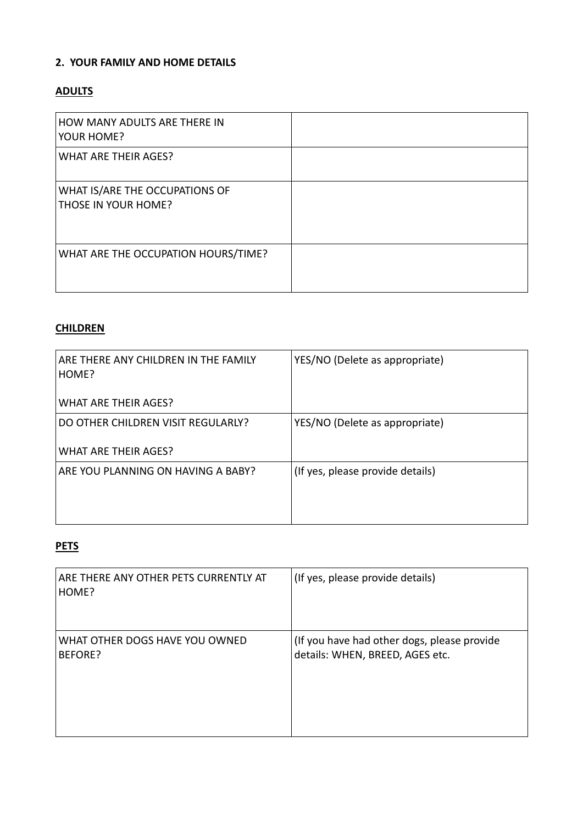### **2. YOUR FAMILY AND HOME DETAILS**

# **ADULTS**

| HOW MANY ADULTS ARE THERE IN<br>YOUR HOME?            |  |
|-------------------------------------------------------|--|
| WHAT ARE THEIR AGES?                                  |  |
| WHAT IS/ARE THE OCCUPATIONS OF<br>THOSE IN YOUR HOME? |  |
| WHAT ARE THE OCCUPATION HOURS/TIME?                   |  |

# **CHILDREN**

| ARE THERE ANY CHILDREN IN THE FAMILY<br>HOME?<br><b>WHAT ARE THEIR AGES?</b> | YES/NO (Delete as appropriate)   |
|------------------------------------------------------------------------------|----------------------------------|
| DO OTHER CHILDREN VISIT REGULARLY?                                           | YES/NO (Delete as appropriate)   |
| <b>WHAT ARE THEIR AGES?</b>                                                  |                                  |
| ARE YOU PLANNING ON HAVING A BABY?                                           | (If yes, please provide details) |
|                                                                              |                                  |
|                                                                              |                                  |

# **PETS**

| ARE THERE ANY OTHER PETS CURRENTLY AT<br>HOME? | (If yes, please provide details)            |
|------------------------------------------------|---------------------------------------------|
| WHAT OTHER DOGS HAVE YOU OWNED                 | (If you have had other dogs, please provide |
| BEFORE?                                        | details: WHEN, BREED, AGES etc.             |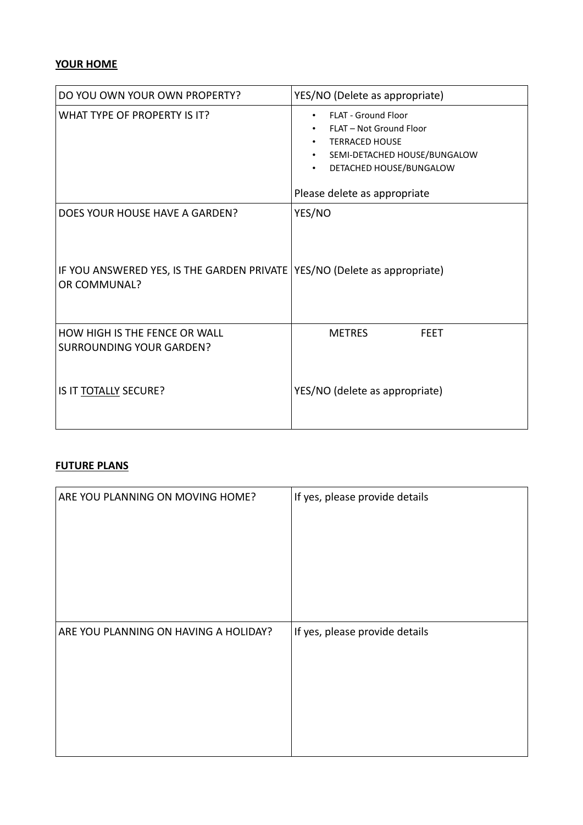### **YOUR HOME**

| DO YOU OWN YOUR OWN PROPERTY?                                                             | YES/NO (Delete as appropriate)                                                                                                                                                         |  |  |
|-------------------------------------------------------------------------------------------|----------------------------------------------------------------------------------------------------------------------------------------------------------------------------------------|--|--|
| WHAT TYPE OF PROPERTY IS IT?                                                              | <b>FLAT - Ground Floor</b><br>$\bullet$<br>FLAT - Not Ground Floor<br><b>TERRACED HOUSE</b><br>SEMI-DETACHED HOUSE/BUNGALOW<br>DETACHED HOUSE/BUNGALOW<br>Please delete as appropriate |  |  |
| DOES YOUR HOUSE HAVE A GARDEN?                                                            | YES/NO                                                                                                                                                                                 |  |  |
| IF YOU ANSWERED YES, IS THE GARDEN PRIVATE YES/NO (Delete as appropriate)<br>OR COMMUNAL? |                                                                                                                                                                                        |  |  |
| <b>HOW HIGH IS THE FENCE OR WALL</b>                                                      | <b>METRES</b><br><b>FEET</b>                                                                                                                                                           |  |  |
| <b>SURROUNDING YOUR GARDEN?</b><br>IS IT TOTALLY SECURE?                                  | YES/NO (delete as appropriate)                                                                                                                                                         |  |  |

### **FUTURE PLANS**

| ARE YOU PLANNING ON MOVING HOME?      | If yes, please provide details |
|---------------------------------------|--------------------------------|
| ARE YOU PLANNING ON HAVING A HOLIDAY? | If yes, please provide details |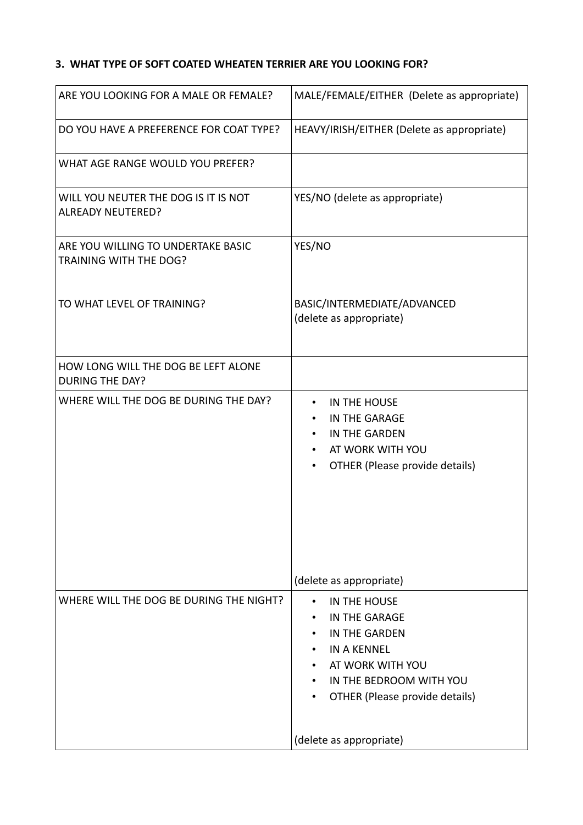# **3. WHAT TYPE OF SOFT COATED WHEATEN TERRIER ARE YOU LOOKING FOR?**

| ARE YOU LOOKING FOR A MALE OR FEMALE?                            | MALE/FEMALE/EITHER (Delete as appropriate)                                                                                                                              |  |  |
|------------------------------------------------------------------|-------------------------------------------------------------------------------------------------------------------------------------------------------------------------|--|--|
| DO YOU HAVE A PREFERENCE FOR COAT TYPE?                          | HEAVY/IRISH/EITHER (Delete as appropriate)                                                                                                                              |  |  |
| WHAT AGE RANGE WOULD YOU PREFER?                                 |                                                                                                                                                                         |  |  |
| WILL YOU NEUTER THE DOG IS IT IS NOT<br><b>ALREADY NEUTERED?</b> | YES/NO (delete as appropriate)                                                                                                                                          |  |  |
| ARE YOU WILLING TO UNDERTAKE BASIC<br>TRAINING WITH THE DOG?     | YES/NO                                                                                                                                                                  |  |  |
| TO WHAT LEVEL OF TRAINING?                                       | BASIC/INTERMEDIATE/ADVANCED<br>(delete as appropriate)                                                                                                                  |  |  |
| HOW LONG WILL THE DOG BE LEFT ALONE<br><b>DURING THE DAY?</b>    |                                                                                                                                                                         |  |  |
| WHERE WILL THE DOG BE DURING THE DAY?                            | IN THE HOUSE<br>$\bullet$<br>IN THE GARAGE<br>$\bullet$<br>IN THE GARDEN<br>$\bullet$<br>AT WORK WITH YOU<br>$\bullet$<br>OTHER (Please provide details)<br>$\bullet$   |  |  |
|                                                                  | (delete as appropriate)                                                                                                                                                 |  |  |
| WHERE WILL THE DOG BE DURING THE NIGHT?                          | IN THE HOUSE<br>$\bullet$<br>IN THE GARAGE<br>IN THE GARDEN<br>٠<br><b>IN A KENNEL</b><br>AT WORK WITH YOU<br>IN THE BEDROOM WITH YOU<br>OTHER (Please provide details) |  |  |
|                                                                  | (delete as appropriate)                                                                                                                                                 |  |  |